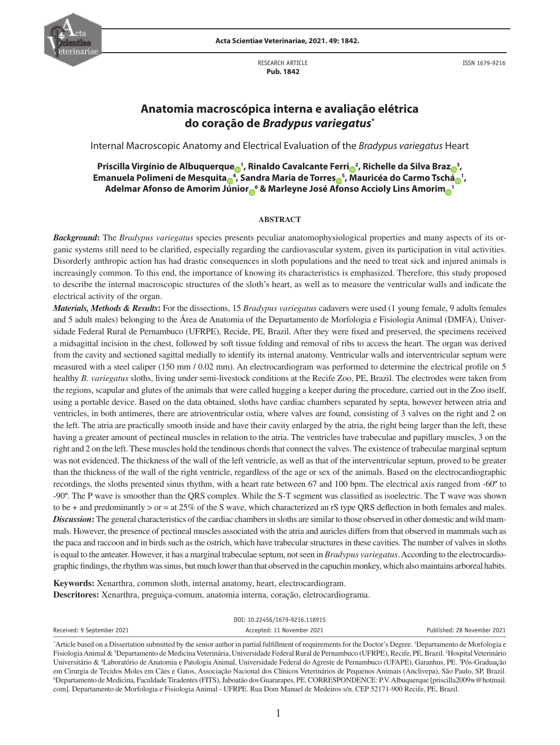

RESEARCH ARTICLE  **Pub. 1842**

ISSN 1679-9216

# **Anatomia macroscópica interna e avaliação elétrica do coração de** *Bradypus variegatus***\***

Internal Macroscopic Anatomy and Electrical Evaluation of the *Bradypus variegatus* Heart

**Priscilla Virgínio de Albuquerqu[e](https://orcid.org/0000-0003-0531-7122) <sup>1</sup> , Rinaldo Cavalcante Ferr[i](https://orcid.org/0000-0002-7770-9312) <sup>2</sup> , Richelle da Silva Bra[z](https://orcid.org/0000-0002-7838-9656) <sup>3</sup> , Emanuela Polimeni de Mesquit[a](https://orcid.org/0000-0002-6166-7947) <sup>4</sup> , Sandra Maria de Torre[s](https://orcid.org/0000-0001-5468-8478) <sup>5</sup> , Mauricéa do Carmo Tsch[á](https://orcid.org/0000-0002-1606-1436) <sup>1</sup> , Adelmar Afonso de Amorim Júnio[r](https://orcid.org/0000-0001-5230-0505) <sup>6</sup> & Marleyne José Afonso Accioly Lins Amori[m](https://orcid.org/0000-0002-7113-0377) <sup>1</sup>**

#### **ABSTRACT**

*Background***:** The *Bradypus variegatus* species presents peculiar anatomophysiological properties and many aspects of its organic systems still need to be clarified, especially regarding the cardiovascular system, given its participation in vital activities. Disorderly anthropic action has had drastic consequences in sloth populations and the need to treat sick and injured animals is increasingly common. To this end, the importance of knowing its characteristics is emphasized. Therefore, this study proposed to describe the internal macroscopic structures of the sloth's heart, as well as to measure the ventricular walls and indicate the electrical activity of the organ.

*Materials, Methods & Results***:** For the dissections, 15 *Bradypus variegatus* cadavers were used (1 young female, 9 adults females and 5 adult males) belonging to the Área de Anatomia of the Departamento de Morfologia e Fisiologia Animal (DMFA), Universidade Federal Rural de Pernambuco (UFRPE), Recide, PE, Brazil. After they were fixed and preserved, the specimens received a midsagittal incision in the chest, followed by soft tissue folding and removal of ribs to access the heart. The organ was derived from the cavity and sectioned sagittal medially to identify its internal anatomy. Ventricular walls and interventricular septum were measured with a steel caliper (150 mm / 0.02 mm). An electrocardiogram was performed to determine the electrical profile on 5 healthy *B. variegatus* sloths, living under semi-livestock conditions at the Recife Zoo, PE, Brazil. The electrodes were taken from the regions, scapular and glutes of the animals that were called hugging a keeper during the procedure, carried out in the Zoo itself, using a portable device. Based on the data obtained, sloths have cardiac chambers separated by septa, however between atria and ventricles, in both antimeres, there are atrioventricular ostia, where valves are found, consisting of 3 valves on the right and 2 on the left. The atria are practically smooth inside and have their cavity enlarged by the atria, the right being larger than the left, these having a greater amount of pectineal muscles in relation to the atria. The ventricles have trabeculae and papillary muscles, 3 on the right and 2 on the left. These muscles hold the tendinous chords that connect the valves. The existence of trabeculae marginal septum was not evidenced. The thickness of the wall of the left ventricle, as well as that of the interventricular septum, proved to be greater than the thickness of the wall of the right ventricle, regardless of the age or sex of the animals. Based on the electrocardiographic recordings, the sloths presented sinus rhythm, with a heart rate between 67 and 100 bpm. The electrical axis ranged from -60º to -90º. The P wave is smoother than the QRS complex. While the S-T segment was classified as isoelectric. The T wave was shown to be + and predominantly > or = at 25% of the S wave, which characterized an rS type QRS deflection in both females and males. *Discussion*: The general characteristics of the cardiac chambers in sloths are similar to those observed in other domestic and wild mammals. However, the presence of pectineal muscles associated with the atria and auricles differs from that observed in mammals such as the paca and raccoon and in birds such as the ostrich, which have trabecular structures in these cavities. The number of valves in sloths is equal to the anteater. However, it has a marginal trabeculae septum, not seen in *Bradypus variegatus*. According to the electrocardiographic findings, the rhythm was sinus, but much lower than that observed in the capuchin monkey, which also maintains arboreal habits.

**Keywords:** Xenarthra, common sloth, internal anatomy, heart, electrocardiogram. **Descritores:** Xenarthra, preguiça-comum, anatomia interna, coração, eletrocardiograma.

|                            | DOI: 10.22456/1679-9216.118915 |                             |  |
|----------------------------|--------------------------------|-----------------------------|--|
| Received: 9 September 2021 | Accepted: 11 November 2021     | Published: 28 November 2021 |  |
|                            |                                | .                           |  |

<sup>\*</sup> Article based on a Dissertation submitted by the senior author in partial fulfillment of requirements for the Doctor's Degree. 1 Departamento de Morfologia e Fisiologia Animal & <sup>5</sup>Departamento de Medicina Veterinária, Universidade Federal Rural de Pernambuco (UFRPE), Recife, PE, Brazil. <sup>2</sup>Hospital Veterinário Universitário & <sup>4</sup>Laboratório de Anatomia e Patologia Animal, Universidade Federal do Agreste de Pernambuco (UFAPE), Garanhus, PE. <sup>3</sup>Pós-Graduação em Cirurgia de Tecidos Moles em Cães e Gatos, Associação Nacional dos Clínicos Veterinários de Pequenos Animais (Anclivepa), São Paulo, SP, Brazil. 6 Departamento de Medicina, Faculdade Tiradentes (FITS), Jaboatão dos Guararapes, PE. CORRESPONDENCE: P.V. Albuquerque [priscilla2009w@hotmail. com]. Departamento de Morfologia e Fisiologia Animal - UFRPE. Rua Dom Manuel de Medeiros s/n. CEP 52171-900 Recife, PE, Brazil.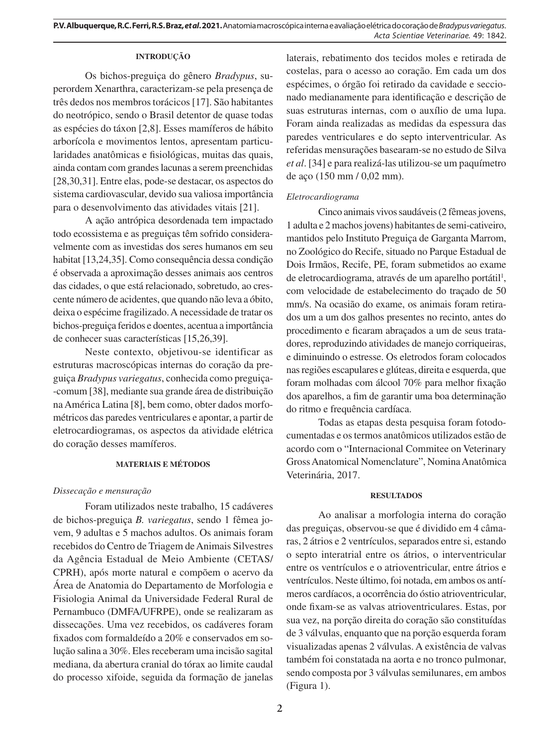## **INTRODUÇÃO**

Os bichos-preguiça do gênero *Bradypus*, superordem Xenarthra, caracterizam-se pela presença de três dedos nos membros torácicos [17]. São habitantes do neotrópico, sendo o Brasil detentor de quase todas as espécies do táxon [2,8]. Esses mamíferos de hábito arborícola e movimentos lentos, apresentam particularidades anatômicas e fisiológicas, muitas das quais, ainda contam com grandes lacunas a serem preenchidas [28,30,31]. Entre elas, pode-se destacar, os aspectos do sistema cardiovascular, devido sua valiosa importância para o desenvolvimento das atividades vitais [21].

A ação antrópica desordenada tem impactado todo ecossistema e as preguiças têm sofrido consideravelmente com as investidas dos seres humanos em seu habitat [13,24,35]. Como consequência dessa condição é observada a aproximação desses animais aos centros das cidades, o que está relacionado, sobretudo, ao crescente número de acidentes, que quando não leva a óbito, deixa o espécime fragilizado. A necessidade de tratar os bichos-preguiça feridos e doentes, acentua a importância de conhecer suas características [15,26,39].

Neste contexto, objetivou-se identificar as estruturas macroscópicas internas do coração da preguiça *Bradypus variegatus*, conhecida como preguiça- -comum [38], mediante sua grande área de distribuição na América Latina [8], bem como, obter dados morfométricos das paredes ventriculares e apontar, a partir de eletrocardiogramas, os aspectos da atividade elétrica do coração desses mamíferos.

## **MATERIAIS E MÉTODOS**

## *Dissecação e mensuração*

Foram utilizados neste trabalho, 15 cadáveres de bichos-preguiça *B. variegatus*, sendo 1 fêmea jovem, 9 adultas e 5 machos adultos. Os animais foram recebidos do Centro de Triagem de Animais Silvestres da Agência Estadual de Meio Ambiente (CETAS/ CPRH), após morte natural e compõem o acervo da Área de Anatomia do Departamento de Morfologia e Fisiologia Animal da Universidade Federal Rural de Pernambuco (DMFA/UFRPE), onde se realizaram as dissecações. Uma vez recebidos, os cadáveres foram fixados com formaldeído a 20% e conservados em solução salina a 30%. Eles receberam uma incisão sagital mediana, da abertura cranial do tórax ao limite caudal do processo xifoide, seguida da formação de janelas laterais, rebatimento dos tecidos moles e retirada de costelas, para o acesso ao coração. Em cada um dos espécimes, o órgão foi retirado da cavidade e seccionado medianamente para identificação e descrição de suas estruturas internas, com o auxílio de uma lupa. Foram ainda realizadas as medidas da espessura das paredes ventriculares e do septo interventricular. As referidas mensurações basearam-se no estudo de Silva *et al*. [34] e para realizá-las utilizou-se um paquímetro de aço (150 mm / 0,02 mm).

## *Eletrocardiograma*

Cinco animais vivos saudáveis (2 fêmeas jovens, 1 adulta e 2 machos jovens) habitantes de semi-cativeiro, mantidos pelo Instituto Preguiça de Garganta Marrom, no Zoológico do Recife, situado no Parque Estadual de Dois Irmãos, Recife, PE, foram submetidos ao exame de eletrocardiograma, através de um aparelho portátil<sup>1</sup>, com velocidade de estabelecimento do traçado de 50 mm/s. Na ocasião do exame, os animais foram retirados um a um dos galhos presentes no recinto, antes do procedimento e ficaram abraçados a um de seus tratadores, reproduzindo atividades de manejo corriqueiras, e diminuindo o estresse. Os eletrodos foram colocados nas regiões escapulares e glúteas, direita e esquerda, que foram molhadas com álcool 70% para melhor fixação dos aparelhos, a fim de garantir uma boa determinação do ritmo e frequência cardíaca.

Todas as etapas desta pesquisa foram fotodocumentadas e os termos anatômicos utilizados estão de acordo com o "Internacional Commitee on Veterinary Gross Anatomical Nomenclature", Nomina Anatômica Veterinária, 2017.

#### **RESULTADOS**

Ao analisar a morfologia interna do coração das preguiças, observou-se que é dividido em 4 câmaras, 2 átrios e 2 ventrículos, separados entre si, estando o septo interatrial entre os átrios, o interventricular entre os ventrículos e o atrioventricular, entre átrios e ventrículos. Neste último, foi notada, em ambos os antímeros cardíacos, a ocorrência do óstio atrioventricular, onde fixam-se as valvas atrioventriculares. Estas, por sua vez, na porção direita do coração são constituídas de 3 válvulas, enquanto que na porção esquerda foram visualizadas apenas 2 válvulas. A existência de valvas também foi constatada na aorta e no tronco pulmonar, sendo composta por 3 válvulas semilunares, em ambos (Figura 1).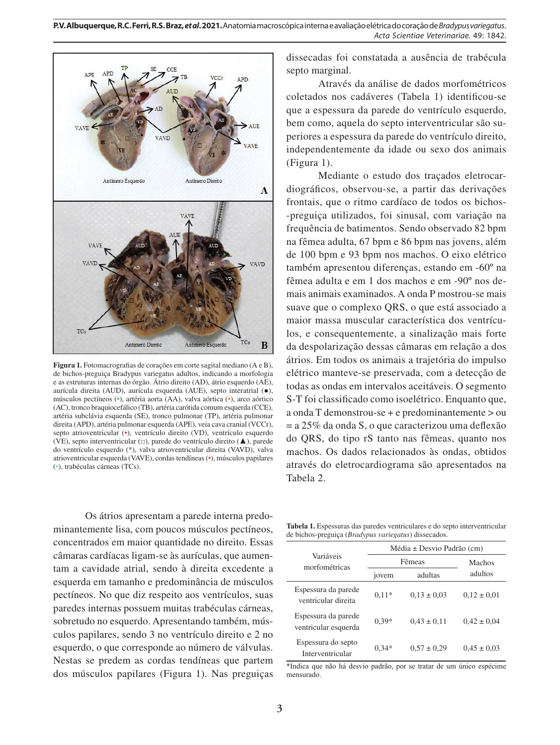

**Figura 1.** Fotomacrografias de corações em corte sagital mediano (A e B), de bichos-preguiça Bradypus variegatus adultos, indicando a morfologia e as estruturas internas do órgão. Átrio direito (AD), átrio esquerdo (AE), aurícula direita (AUD), aurícula esquerda (AUE), septo interatrial (■), músculos pectíneos (•), artéria aorta (AA), valva aórtica (•), arco aórtico (AC), tronco braquiocefálico (TB), artéria carótida comum esquerda (CCE), artéria subclávia esquerda (SE), tronco pulmonar (TP), artéria pulmonar direita (APD), artéria pulmonar esquerda (APE), veia cava cranial (VCCr), septo atrioventricular (•), ventrículo direito (VD), ventrículo esquerdo (VE), septo interventricular (□), parede do ventrículo direito (▲), parede do ventrículo esquerdo (\*), valva atrioventricular direita (VAVD), valva atrioventricular esquerda (VAVE), cordas tendíneas (•), músculos papilares (•), trabéculas cárneas (TCs).

Os átrios apresentam a parede interna predominantemente lisa, com poucos músculos pectíneos, concentrados em maior quantidade no direito. Essas câmaras cardíacas ligam-se às aurículas, que aumentam a cavidade atrial, sendo à direita excedente a esquerda em tamanho e predominância de músculos pectíneos. No que diz respeito aos ventrículos, suas paredes internas possuem muitas trabéculas cárneas, sobretudo no esquerdo. Apresentando também, músculos papilares, sendo 3 no ventrículo direito e 2 no esquerdo, o que corresponde ao número de válvulas. Nestas se predem as cordas tendíneas que partem dos músculos papilares (Figura 1). Nas preguiças dissecadas foi constatada a ausência de trabécula septo marginal.

Através da análise de dados morfométricos coletados nos cadáveres (Tabela 1) identificou-se que a espessura da parede do ventrículo esquerdo, bem como, aquela do septo interventricular são superiores a espessura da parede do ventrículo direito, independentemente da idade ou sexo dos animais (Figura 1).

Mediante o estudo dos traçados eletrocardiográficos, observou-se, a partir das derivações frontais, que o ritmo cardíaco de todos os bichos- -preguiça utilizados, foi sinusal, com variação na frequência de batimentos. Sendo observado 82 bpm na fêmea adulta, 67 bpm e 86 bpm nas jovens, além de 100 bpm e 93 bpm nos machos. O eixo elétrico também apresentou diferenças, estando em -60º na fêmea adulta e em 1 dos machos e em -90º nos demais animais examinados. A onda P mostrou-se mais suave que o complexo QRS, o que está associado a maior massa muscular característica dos ventrículos, e consequentemente, a sinalização mais forte da despolarização dessas câmaras em relação a dos átrios. Em todos os animais a trajetória do impulso elétrico manteve-se preservada, com a detecção de todas as ondas em intervalos aceitáveis. O segmento S-T foi classificado como isoelétrico. Enquanto que, a onda T demonstrou-se + e predominantemente > ou = a 25% da onda S, o que caracterizou uma deflexão do QRS, do tipo rS tanto nas fêmeas, quanto nos machos. Os dados relacionados às ondas, obtidos através do eletrocardiograma são apresentados na Tabela 2.

**Tabela 1.** Espessuras das paredes ventriculares e do septo interventricular de bichos-preguiça (*Bradypus variegatus*) dissecados.

|                                             | $Média \pm Desvio Padrão (cm)$ |                 |                 |  |  |
|---------------------------------------------|--------------------------------|-----------------|-----------------|--|--|
| Variáveis<br>morfométricas                  | Fêmeas                         | Machos          |                 |  |  |
|                                             | jovem                          | adultas         | adultos         |  |  |
| Espessura da parede<br>ventricular direita  | $0.11*$                        | $0.13 \pm 0.03$ | $0.12 \pm 0.01$ |  |  |
| Espessura da parede<br>ventricular esquerda | $0.39*$                        | $0.43 \pm 0.11$ | $0.42 \pm 0.04$ |  |  |
| Espessura do septo<br>Interventricular      | $0.34*$                        | $0.57 \pm 0.29$ | $0.45 \pm 0.03$ |  |  |

\*Indica que não há desvio padrão, por se tratar de um único espécime mensurado.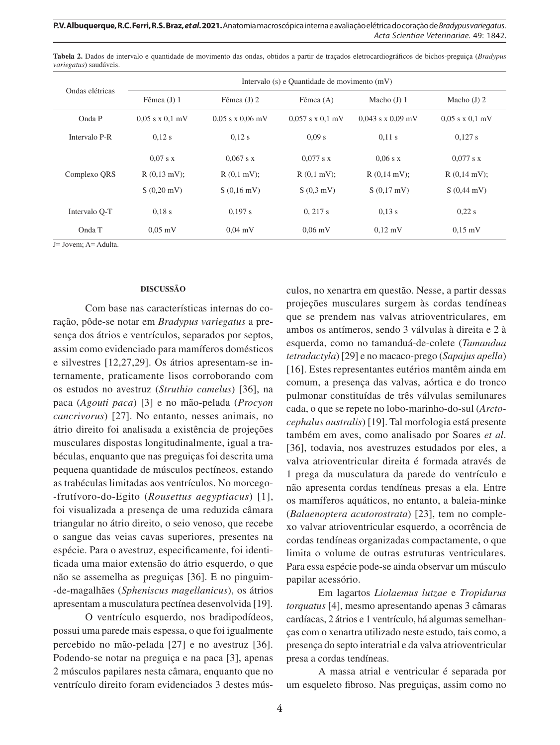**P.V. Albuquerque, R.C. Ferri, R.S. Braz,** *et al***. 2021.** Anatomia macroscópica interna e avaliação elétrica do coração de *Bradypus variegatus*. *Acta Scientiae Veterinariae*. 49: 1842.

| Ondas elétricas | Intervalo (s) e Quantidade de movimento (mV) |                      |                      |                       |                        |  |
|-----------------|----------------------------------------------|----------------------|----------------------|-----------------------|------------------------|--|
|                 | Fêmea $(J)$ 1                                | Fêmea $(J)$ 2        | Fêmea $(A)$          | Macho $(J)$ 1         | Macho $(J)$ 2          |  |
| Onda P          | $0.05$ s x $0.1$ mV                          | $0.05$ s x $0.06$ mV | $0.057$ s x $0.1$ mV | $0.043$ s x $0.09$ mV | $0.05$ s x $0.1$ mV    |  |
| Intervalo P-R   | 0.12 s                                       | 0.12 s               | 0.09 s               | $0.11$ s              | 0,127 s                |  |
| Complexo QRS    | $0.07$ s x                                   | $0.067$ s x          | $0.077$ s x          | $0.06$ s x            | $0.077$ s x            |  |
|                 | $R(0,13$ mV);                                | $R(0,1 mV)$ ;        | $R(0,1 mV)$ ;        | $R(0,14$ mV);         | $R(0,14 \text{ mV})$ ; |  |
|                 | $S(0,20 \text{ mV})$                         | $S(0,16 \text{ mV})$ | S(0,3 mV)            | S(0,17 mV)            | $S(0,44 \text{ mV})$   |  |
| Intervalo O-T   | $0.18$ s                                     | 0.197 s              | 0, 217 s             | 0.13 s                | 0.22 s                 |  |
| Onda T          | $0.05$ mV                                    | $0.04$ mV            | $0.06$ mV            | $0,12 \text{ mV}$     | $0.15 \text{ mV}$      |  |

**Tabela 2.** Dados de intervalo e quantidade de movimento das ondas, obtidos a partir de traçados eletrocardiográficos de bichos-preguiça (*Bradypus variegatus*) saudáveis.

J= Jovem; A= Adulta.

#### **DISCUSSÃO**

Com base nas características internas do coração, pôde-se notar em *Bradypus variegatus* a presença dos átrios e ventrículos, separados por septos, assim como evidenciado para mamíferos domésticos e silvestres [12,27,29]. Os átrios apresentam-se internamente, praticamente lisos corroborando com os estudos no avestruz (*Struthio camelus*) [36], na paca (*Agouti paca*) [3] e no mão-pelada (*Procyon cancrivorus*) [27]. No entanto, nesses animais, no átrio direito foi analisada a existência de projeções musculares dispostas longitudinalmente, igual a trabéculas, enquanto que nas preguiças foi descrita uma pequena quantidade de músculos pectíneos, estando as trabéculas limitadas aos ventrículos. No morcego- -frutívoro-do-Egito (*Rousettus aegyptiacus*) [1], foi visualizada a presença de uma reduzida câmara triangular no átrio direito, o seio venoso, que recebe o sangue das veias cavas superiores, presentes na espécie. Para o avestruz, especificamente, foi identificada uma maior extensão do átrio esquerdo, o que não se assemelha as preguiças [36]. E no pinguim- -de-magalhães (*Spheniscus magellanicus*), os átrios apresentam a musculatura pectínea desenvolvida [19].

O ventrículo esquerdo, nos bradipodídeos, possui uma parede mais espessa, o que foi igualmente percebido no mão-pelada [27] e no avestruz [36]. Podendo-se notar na preguiça e na paca [3], apenas 2 músculos papilares nesta câmara, enquanto que no ventrículo direito foram evidenciados 3 destes músculos, no xenartra em questão. Nesse, a partir dessas projeções musculares surgem às cordas tendíneas que se prendem nas valvas atrioventriculares, em ambos os antímeros, sendo 3 válvulas à direita e 2 à esquerda, como no tamanduá-de-colete (*Tamandua tetradactyla*) [29] e no macaco-prego (*Sapajus apella*) [16]. Estes representantes eutérios mantêm ainda em comum, a presença das valvas, aórtica e do tronco pulmonar constituídas de três válvulas semilunares cada, o que se repete no lobo-marinho-do-sul (*Arctocephalus australis*) [19]. Tal morfologia está presente também em aves, como analisado por Soares *et al*. [36], todavia, nos avestruzes estudados por eles, a valva atrioventricular direita é formada através de 1 prega da musculatura da parede do ventrículo e não apresenta cordas tendíneas presas a ela. Entre os mamíferos aquáticos, no entanto, a baleia-minke (*Balaenoptera acutorostrata*) [23], tem no complexo valvar atrioventricular esquerdo, a ocorrência de cordas tendíneas organizadas compactamente, o que limita o volume de outras estruturas ventriculares. Para essa espécie pode-se ainda observar um músculo papilar acessório.

Em lagartos *Liolaemus lutzae* e *Tropidurus torquatus* [4], mesmo apresentando apenas 3 câmaras cardíacas, 2 átrios e 1 ventrículo, há algumas semelhanças com o xenartra utilizado neste estudo, tais como, a presença do septo interatrial e da valva atrioventricular presa a cordas tendíneas.

A massa atrial e ventricular é separada por um esqueleto fibroso. Nas preguiças, assim como no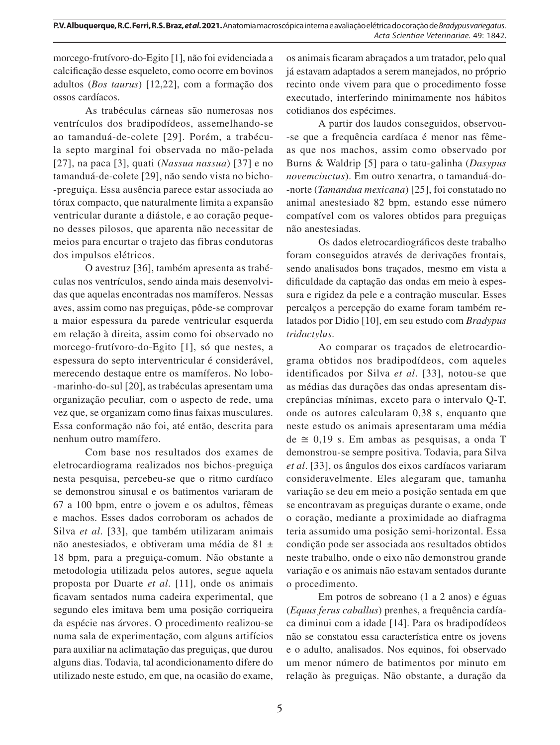morcego-frutívoro-do-Egito [1], não foi evidenciada a calcificação desse esqueleto, como ocorre em bovinos adultos (*Bos taurus*) [12,22], com a formação dos ossos cardíacos.

As trabéculas cárneas são numerosas nos ventrículos dos bradipodídeos, assemelhando-se ao tamanduá-de-colete [29]. Porém, a trabécula septo marginal foi observada no mão-pelada [27], na paca [3], quati (*Nassua nassua*) [37] e no tamanduá-de-colete [29], não sendo vista no bicho- -preguiça. Essa ausência parece estar associada ao tórax compacto, que naturalmente limita a expansão ventricular durante a diástole, e ao coração pequeno desses pilosos, que aparenta não necessitar de meios para encurtar o trajeto das fibras condutoras dos impulsos elétricos.

O avestruz [36], também apresenta as trabéculas nos ventrículos, sendo ainda mais desenvolvidas que aquelas encontradas nos mamíferos. Nessas aves, assim como nas preguiças, pôde-se comprovar a maior espessura da parede ventricular esquerda em relação à direita, assim como foi observado no morcego-frutívoro-do-Egito [1], só que nestes, a espessura do septo interventricular é considerável, merecendo destaque entre os mamíferos. No lobo- -marinho-do-sul [20], as trabéculas apresentam uma organização peculiar, com o aspecto de rede, uma vez que, se organizam como finas faixas musculares. Essa conformação não foi, até então, descrita para nenhum outro mamífero.

Com base nos resultados dos exames de eletrocardiograma realizados nos bichos-preguiça nesta pesquisa, percebeu-se que o ritmo cardíaco se demonstrou sinusal e os batimentos variaram de 67 a 100 bpm, entre o jovem e os adultos, fêmeas e machos. Esses dados corroboram os achados de Silva *et al*. [33], que também utilizaram animais não anestesiados, e obtiveram uma média de 81 ± 18 bpm, para a preguiça-comum. Não obstante a metodologia utilizada pelos autores, segue aquela proposta por Duarte *et al*. [11], onde os animais ficavam sentados numa cadeira experimental, que segundo eles imitava bem uma posição corriqueira da espécie nas árvores. O procedimento realizou-se numa sala de experimentação, com alguns artifícios para auxiliar na aclimatação das preguiças, que durou alguns dias. Todavia, tal acondicionamento difere do utilizado neste estudo, em que, na ocasião do exame, os animais ficaram abraçados a um tratador, pelo qual já estavam adaptados a serem manejados, no próprio recinto onde vivem para que o procedimento fosse executado, interferindo minimamente nos hábitos cotidianos dos espécimes.

A partir dos laudos conseguidos, observou- -se que a frequência cardíaca é menor nas fêmeas que nos machos, assim como observado por Burns & Waldrip [5] para o tatu-galinha (*Dasypus novemcinctus*). Em outro xenartra, o tamanduá-do- -norte (*Tamandua mexicana*) [25], foi constatado no animal anestesiado 82 bpm, estando esse número compatível com os valores obtidos para preguiças não anestesiadas.

Os dados eletrocardiográficos deste trabalho foram conseguidos através de derivações frontais, sendo analisados bons traçados, mesmo em vista a dificuldade da captação das ondas em meio à espessura e rigidez da pele e a contração muscular. Esses percalços a percepção do exame foram também relatados por Didio [10], em seu estudo com *Bradypus tridactylus*.

Ao comparar os traçados de eletrocardiograma obtidos nos bradipodídeos, com aqueles identificados por Silva *et al*. [33], notou-se que as médias das durações das ondas apresentam discrepâncias mínimas, exceto para o intervalo Q-T, onde os autores calcularam 0,38 s, enquanto que neste estudo os animais apresentaram uma média de  $\cong$  0,19 s. Em ambas as pesquisas, a onda T demonstrou-se sempre positiva. Todavia, para Silva *et al*. [33], os ângulos dos eixos cardíacos variaram consideravelmente. Eles alegaram que, tamanha variação se deu em meio a posição sentada em que se encontravam as preguiças durante o exame, onde o coração, mediante a proximidade ao diafragma teria assumido uma posição semi-horizontal. Essa condição pode ser associada aos resultados obtidos neste trabalho, onde o eixo não demonstrou grande variação e os animais não estavam sentados durante o procedimento.

Em potros de sobreano (1 a 2 anos) e éguas (*Equus ferus caballus*) prenhes, a frequência cardíaca diminui com a idade [14]. Para os bradipodídeos não se constatou essa característica entre os jovens e o adulto, analisados. Nos equinos, foi observado um menor número de batimentos por minuto em relação às preguiças. Não obstante, a duração da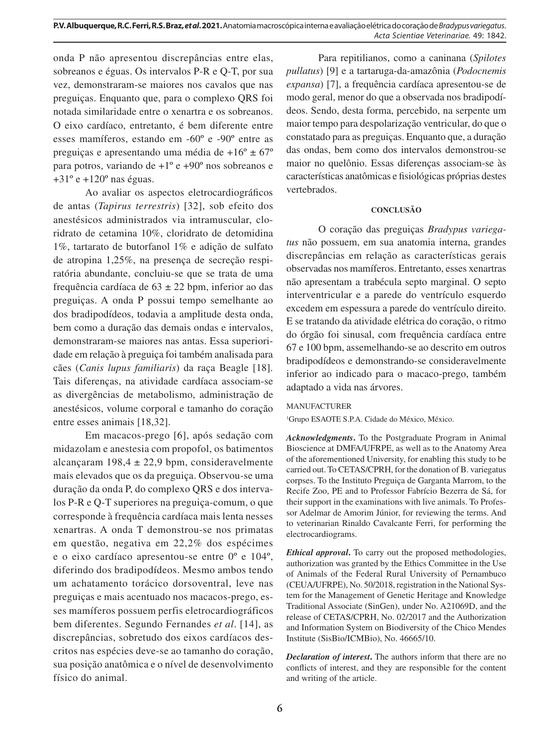onda P não apresentou discrepâncias entre elas, sobreanos e éguas. Os intervalos P-R e Q-T, por sua vez, demonstraram-se maiores nos cavalos que nas preguiças. Enquanto que, para o complexo QRS foi notada similaridade entre o xenartra e os sobreanos. O eixo cardíaco, entretanto, é bem diferente entre esses mamíferos, estando em -60º e -90º entre as preguiças e apresentando uma média de +16º ± 67º para potros, variando de +1º e +90º nos sobreanos e  $+31^\circ e +120^\circ$  nas éguas.

Ao avaliar os aspectos eletrocardiográficos de antas (*Tapirus terrestris*) [32], sob efeito dos anestésicos administrados via intramuscular, cloridrato de cetamina 10%, cloridrato de detomidina 1%, tartarato de butorfanol 1% e adição de sulfato de atropina 1,25%, na presença de secreção respiratória abundante, concluiu-se que se trata de uma frequência cardíaca de 63 ± 22 bpm, inferior ao das preguiças. A onda P possui tempo semelhante ao dos bradipodídeos, todavia a amplitude desta onda, bem como a duração das demais ondas e intervalos, demonstraram-se maiores nas antas. Essa superioridade em relação à preguiça foi também analisada para cães (*Canis lupus familiaris*) da raça Beagle [18]. Tais diferenças, na atividade cardíaca associam-se as divergências de metabolismo, administração de anestésicos, volume corporal e tamanho do coração entre esses animais [18,32].

Em macacos-prego [6], após sedação com midazolam e anestesia com propofol, os batimentos alcançaram  $198,4 \pm 22,9$  bpm, consideravelmente mais elevados que os da preguiça. Observou-se uma duração da onda P, do complexo QRS e dos intervalos P-R e Q-T superiores na preguiça-comum, o que corresponde à frequência cardíaca mais lenta nesses xenartras. A onda T demonstrou-se nos primatas em questão, negativa em 22,2% dos espécimes e o eixo cardíaco apresentou-se entre 0º e 104º, diferindo dos bradipodídeos. Mesmo ambos tendo um achatamento torácico dorsoventral, leve nas preguiças e mais acentuado nos macacos-prego, esses mamíferos possuem perfis eletrocardiográficos bem diferentes. Segundo Fernandes *et al*. [14], as discrepâncias, sobretudo dos eixos cardíacos descritos nas espécies deve-se ao tamanho do coração, sua posição anatômica e o nível de desenvolvimento físico do animal.

Para repitilianos, como a caninana (*Spilotes pullatus*) [9] e a tartaruga-da-amazônia (*Podocnemis expansa*) [7], a frequência cardíaca apresentou-se de modo geral, menor do que a observada nos bradipodídeos. Sendo, desta forma, percebido, na serpente um maior tempo para despolarização ventricular, do que o constatado para as preguiças. Enquanto que, a duração das ondas, bem como dos intervalos demonstrou-se maior no quelônio. Essas diferenças associam-se às características anatômicas e fisiológicas próprias destes vertebrados.

## **CONCLUSÃO**

O coração das preguiças *Bradypus variegatus* não possuem, em sua anatomia interna, grandes discrepâncias em relação as características gerais observadas nos mamíferos. Entretanto, esses xenartras não apresentam a trabécula septo marginal. O septo interventricular e a parede do ventrículo esquerdo excedem em espessura a parede do ventrículo direito. E se tratando da atividade elétrica do coração, o ritmo do órgão foi sinusal, com frequência cardíaca entre 67 e 100 bpm, assemelhando-se ao descrito em outros bradipodídeos e demonstrando-se consideravelmente inferior ao indicado para o macaco-prego, também adaptado a vida nas árvores.

### MANUFACTURER

1 Grupo ESAOTE S.P.A. Cidade do México, México.

*Acknowledgments***.** To the Postgraduate Program in Animal Bioscience at DMFA/UFRPE, as well as to the Anatomy Area of the aforementioned University, for enabling this study to be carried out. To CETAS/CPRH, for the donation of B. variegatus corpses. To the Instituto Preguiça de Garganta Marrom, to the Recife Zoo, PE and to Professor Fabrício Bezerra de Sá, for their support in the examinations with live animals. To Professor Adelmar de Amorim Júnior, for reviewing the terms. And to veterinarian Rinaldo Cavalcante Ferri, for performing the electrocardiograms.

*Ethical approval***.** To carry out the proposed methodologies, authorization was granted by the Ethics Committee in the Use of Animals of the Federal Rural University of Pernambuco (CEUA/UFRPE), No. 50/2018, registration in the National System for the Management of Genetic Heritage and Knowledge Traditional Associate (SinGen), under No. A21069D, and the release of CETAS/CPRH, No. 02/2017 and the Authorization and Information System on Biodiversity of the Chico Mendes Institute (SisBio/ICMBio), No. 46665/10.

*Declaration of interest***.** The authors inform that there are no conflicts of interest, and they are responsible for the content and writing of the article.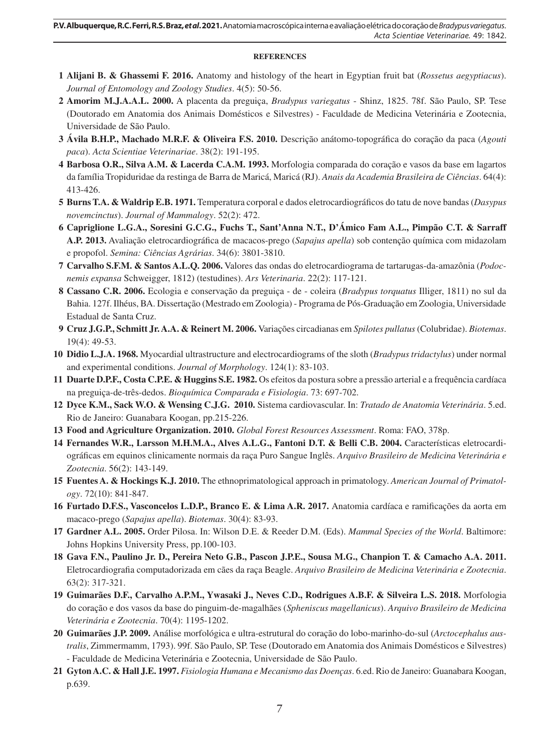#### **REFERENCES**

- **1 Alijani B. & Ghassemi F. 2016.** Anatomy and histology of the heart in Egyptian fruit bat (*Rossetus aegyptiacus*). *Journal of Entomology and Zoology Studies*. 4(5): 50-56.
- **2 Amorim M.J.A.A.L. 2000.** A placenta da preguiça, *Bradypus variegatus* Shinz, 1825. 78f. São Paulo, SP. Tese (Doutorado em Anatomia dos Animais Domésticos e Silvestres) - Faculdade de Medicina Veterinária e Zootecnia, Universidade de São Paulo.
- **3 Ávila B.H.P., Machado M.R.F. & Oliveira F.S. 2010.** Descrição anátomo-topográfica do coração da paca (*Agouti paca*). *Acta Scientiae Veterinariae*. 38(2): 191-195.
- **4 Barbosa O.R., Silva A.M. & Lacerda C.A.M. 1993.** Morfologia comparada do coração e vasos da base em lagartos da família Tropiduridae da restinga de Barra de Maricá, Maricá (RJ). *Anais da Academia Brasileira de Ciências*. 64(4): 413-426.
- **5 Burns T.A. & Waldrip E.B. 1971.** Temperatura corporal e dados eletrocardiográficos do tatu de nove bandas (*Dasypus novemcinctus*). *Journal of Mammalogy*. 52(2): 472.
- **6 Capriglione L.G.A., Soresini G.C.G., Fuchs T., Sant'Anna N.T., D'Ámico Fam A.L., Pimpão C.T. & Sarraff A.P. 2013.** Avaliação eletrocardiográfica de macacos-prego (*Sapajus apella*) sob contenção química com midazolam e propofol. *Semina: Ciências Agrárias*. 34(6): 3801-3810.
- **7 Carvalho S.F.M. & Santos A.L.Q. 2006.** Valores das ondas do eletrocardiograma de tartarugas-da-amazônia (*Podocnemis expansa* Schweigger, 1812) (testudines). *Ars Veterinaria*. 22(2): 117-121.
- **8 Cassano C.R. 2006.** Ecologia e conservação da preguiça de coleira (*Bradypus torquatus* Illiger, 1811) no sul da Bahia. 127f. Ilhéus, BA. Dissertação (Mestrado em Zoologia) - Programa de Pós-Graduação em Zoologia, Universidade Estadual de Santa Cruz.
- **9 Cruz J.G.P., Schmitt Jr. A.A. & Reinert M. 2006.** Variações circadianas em *Spilotes pullatus* (Colubridae). *Biotemas*. 19(4): 49-53.
- **10 Didio L.J.A. 1968.** Myocardial ultrastructure and electrocardiograms of the sloth (*Bradypus tridactylus*) under normal and experimental conditions. *Journal of Morphology*. 124(1): 83-103.
- **11 Duarte D.P.F., Costa C.P.E. & Huggins S.E. 1982.** Os efeitos da postura sobre a pressão arterial e a frequência cardíaca na preguiça-de-três-dedos. *Bioquímica Comparada e Fisiologia*. 73: 697-702.
- **12 Dyce K.M., Sack W.O. & Wensing C.J.G. 2010.** Sistema cardiovascular. In: *Tratado de Anatomia Veterinária*. 5.ed. Rio de Janeiro: Guanabara Koogan, pp.215-226.
- **13 Food and Agriculture Organization. 2010.** *Global Forest Resources Assessment*. Roma: FAO, 378p.
- **14 Fernandes W.R., Larsson M.H.M.A., Alves A.L.G., Fantoni D.T. & Belli C.B. 2004.** Características eletrocardiográficas em equinos clinicamente normais da raça Puro Sangue Inglês. *Arquivo Brasileiro de Medicina Veterinária e Zootecnia*. 56(2): 143-149.
- **15 Fuentes A. & Hockings K.J. 2010.** The ethnoprimatological approach in primatology. *American Journal of Primatology*. 72(10): 841-847.
- **16 Furtado D.F.S., Vasconcelos L.D.P., Branco E. & Lima A.R. 2017.** Anatomia cardíaca e ramificações da aorta em macaco-prego (*Sapajus apella*). *Biotemas*. 30(4): 83-93.
- **17 Gardner A.L. 2005.** Order Pilosa. In: Wilson D.E. & Reeder D.M. (Eds). *Mammal Species of the World*. Baltimore: Johns Hopkins University Press, pp.100-103.
- **18 Gava F.N., Paulino Jr. D., Pereira Neto G.B., Pascon J.P.E., Sousa M.G., Chanpion T. & Camacho A.A. 2011.**  Eletrocardiografia computadorizada em cães da raça Beagle. *Arquivo Brasileiro de Medicina Veterinária e Zootecnia*. 63(2): 317-321.
- **19 Guimarães D.F., Carvalho A.P.M., Ywasaki J., Neves C.D., Rodrigues A.B.F. & Silveira L.S. 2018.** Morfologia do coração e dos vasos da base do pinguim-de-magalhães (*Spheniscus magellanicus*). *Arquivo Brasileiro de Medicina Veterinária e Zootecnia*. 70(4): 1195-1202.
- **20 Guimarães J.P. 2009.** Análise morfológica e ultra-estrutural do coração do lobo-marinho-do-sul (*Arctocephalus australis*, Zimmermamm, 1793). 99f. São Paulo, SP. Tese (Doutorado em Anatomia dos Animais Domésticos e Silvestres) - Faculdade de Medicina Veterinária e Zootecnia, Universidade de São Paulo.
- **21 Gyton A.C. & Hall J.E. 1997.** *Fisiologia Humana e Mecanismo das Doenças*. 6.ed. Rio de Janeiro: Guanabara Koogan, p.639.